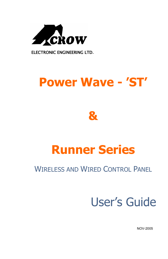

**ELECTRONIC ENGINEERING LTD***.* 

# **Power Wave - 'ST'**



# **Runner Series**

## WIRELESS AND WIRED CONTROL PANEL

# User's Guide

NOV-2005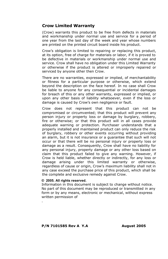#### **Crow Limited Warranty**

(Crow) warrants this product to be free from defects in materials and workmanship under normal use and service for a period of one year from the last day of the week and year whose numbers are printed on the printed circuit board inside his product.

Crow's obligation is limited to repairing or replacing this product, at its option, free of charge for materials or labor, if it is proved to be defective in materials or workmanship under normal use and service. Crow shall have no obligation under this Limited Warranty or otherwise if the product is altered or improperly repaired or serviced by anyone other then Crow.

There are no warranties, expressed or implied, of merchantability or fitness for a particular purpose or otherwise, which extend beyond the description on the face hereof. In no case shall Crow be liable to anyone for any consequential or incidental damages for breach of this or any other warranty, expressed or implied, or upon any other basis of liability whatsoever, even if the loss or damage is caused by Crow's own negligence or fault.

Crow does not represent that this product can not be compromised or circumvented; that this product will prevent any person injury or property loss or damage by burglary, robbery, fire or otherwise; or that this product will in all cases provide adequate warning or protection. Purchaser understands that a properly installed and maintained product can only reduce the risk of burglary, robbery or other events occurring without providing an alarm, but it is not insurance or a guarantee that such will not occur or that there will be no personal injury or property loss or damage as a result. Consequently, Crow shall have no liability for any personal injury, property damage or any other loss based on claim that this product failed to give any warning. However, if Crow is held liable, whether directly or indirectly, for any loss or damage arising under this limited warranty or otherwise, regardless of cause or origin, Crow's maximum liability shall not in any case exceed the purchase price of this product, which shall be the complete and exclusive remedy against Crow.

#### **© 2005. All rights reserved.**

.

Information in this document is subject to change without notice. No part of this document may be reproduced or transmitted in any form or by any means, electronic or mechanical, without express written permission of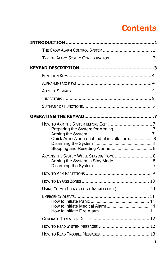# **Contents**

| TYPICAL ALARM SYSTEM CONFIGURATION  2        |
|----------------------------------------------|
|                                              |
|                                              |
|                                              |
|                                              |
|                                              |
|                                              |
|                                              |
| Quick Arm (When enabled at installation) 8   |
| ARMING THE SYSTEM WHILE STAYING HOME  8      |
|                                              |
|                                              |
| USING CHIME (IF ENABLED AT INSTALLATION)  11 |
|                                              |
|                                              |
|                                              |
|                                              |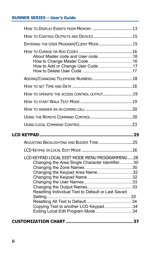#### **RUNNER SERIES – User's Guide**

| HOW TO DISPLAY EVENTS FROM MEMORY 13                                                                                                                                                                                                                                     |
|--------------------------------------------------------------------------------------------------------------------------------------------------------------------------------------------------------------------------------------------------------------------------|
| HOW TO CONTROL OUTPUTS AND DEVICES 15                                                                                                                                                                                                                                    |
| ENTERING THE USER PROGRAM/CLIENT MODE 15                                                                                                                                                                                                                                 |
| How to Add or Change User Code 17                                                                                                                                                                                                                                        |
| ADDING/CHANGING TELEPHONE NUMBERS18                                                                                                                                                                                                                                      |
|                                                                                                                                                                                                                                                                          |
| HOW TO OPERATE THE ACCESS CONTROL OUTPUT19                                                                                                                                                                                                                               |
|                                                                                                                                                                                                                                                                          |
|                                                                                                                                                                                                                                                                          |
|                                                                                                                                                                                                                                                                          |
|                                                                                                                                                                                                                                                                          |
|                                                                                                                                                                                                                                                                          |
|                                                                                                                                                                                                                                                                          |
| ADJUSTING BACKLIGHTING AND BUZZER TONE 25                                                                                                                                                                                                                                |
|                                                                                                                                                                                                                                                                          |
| LCD KEYPAD LOCAL EDIT MODE MENU PROGRAMMING  28<br>Changing the Area Single Character Identifier30<br>Changing the Keypad Area Name32<br>Resetting Individual Text to Default or Last Saved<br>Copying Text to another LCD Keypad34<br>Exiting Local Edit Program Mode34 |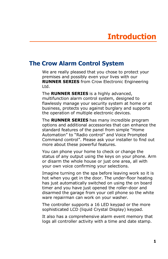## **The Crow Alarm Control System**

We are really pleased that you chose to protect your premises and possibly even your lives with our **RUNNER SERIES** from Crow Electronic Engineering Ltd.

The **RUNNER SERIES** is a highly advanced, multifunction alarm control system, designed to flawlessly manage your security system at home or at business, protects you against burglary and supports the operation of multiple electronic devices.

The **RUNNER SERIES** has many incredible program options and additional accessories that can enhance the standard features of the panel from simple "Home Automation" to "Radio control" and Voice Prompted Command control". Please ask your installer to find out more about these powerful features.

You can phone your home to check or change the status of any output using the keys on your phone. Arm or disarm the whole house or just one area, all with your own voice confirming your selections.

Imagine turning on the spa before leaving work so it is hot when you get in the door. The under-floor heating has just automatically switched on using the on board timer and you have just opened the roller-door and disarmed the garage from your cell phone so the white ware repairman can work on your washer.

The controller supports a 16 LED keypad or the more sophisticated LCD (liquid Crystal Display) keypad.

It also has a comprehensive alarm event memory that logs all controller activity with a time and date stamp.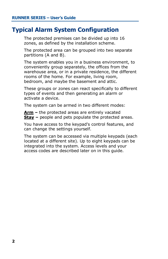## **Typical Alarm System Configuration**

The protected premises can be divided up into 16 zones, as defined by the installation scheme.

The protected area can be grouped into two separate partitions (A and B).

The system enables you in a business environment, to conveniently group separately, the offices from the warehouse area, or in a private residence, the different rooms of the home. For example, living room, bedroom, and maybe the basement and attic.

These groups or zones can react specifically to different types of events and then generating an alarm or activate a device.

The system can be armed in two different modes:

**Arm –** the protected areas are entirely vacated **Stay** – people and pets populate the protected areas.

You have access to the keypad's control features, and can change the settings yourself.

The system can be accessed via multiple keypads (each located at a different site). Up to eight keypads can be integrated into the system. Access levels and your access codes are described later on in this guide.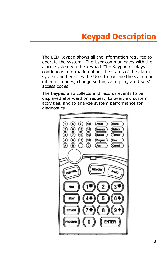# **Keypad Description**

The LED Keypad shows all the information required to operate the system. The User communicates with the alarm system via the keypad. The Keypad displays continuous information about the status of the alarm system, and enables the User to operate the system in different modes, change settings and program Users' access codes.

The keypad also collects and records events to be displayed afterward on request, to overview system activities, and to analyze system performance for diagnostics.

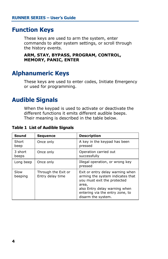## **Function Keys**

These keys are used to arm the system, enter commands to alter system settings, or scroll through the history events.

**ARM, STAY, BYPASS, PROGRAM, CONTROL, MEMORY, PANIC, ENTER** 

## **Alphanumeric Keys**

These keys are used to enter codes, Initiate Emergency or used for programming.

## **Audible Signals**

When the keypad is used to activate or deactivate the different functions it emits different audible beeps. Their meaning is described in the table below.

**Table 1 List of Audible Signals** 

| Sound            | <b>Sequence</b>                         | <b>Description</b>                                                                                                                                                                                     |
|------------------|-----------------------------------------|--------------------------------------------------------------------------------------------------------------------------------------------------------------------------------------------------------|
| Short<br>beep    | Once only                               | A key in the keypad has been<br>pressed                                                                                                                                                                |
| 3 short<br>beeps | Once only                               | Operation carried out<br>successfully                                                                                                                                                                  |
| Long beep        | Once only                               | Illegal operation, or wrong key<br>pressed                                                                                                                                                             |
| Slow<br>beeping  | Through the Exit or<br>Entry delay time | Exit or entry delay warning when<br>arming the system indicates that<br>you must exit the protected<br>area,<br>also Entry delay warning when<br>entering via the entry zone, to<br>disarm the system. |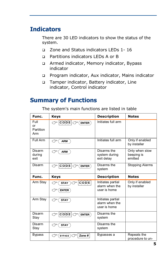## **Indicators**

There are 30 LED indicators to show the status of the system.

- q Zone and Status indicators LEDs 1- 16
- q Partitions indicators LEDs A or B
- q Armed indicator, Memory indicator, Bypass indicator
- q Program indicator, Aux indicator, Mains indicator
- q Tamper indicator, Battery indicator, Line indicator, Control indicator

## **Summary of Functions**

The system's main functions are listed in table

| Func.                          | <b>Keys</b>                                                                           | <b>Description</b>                                  | <b>Notes</b>                            |
|--------------------------------|---------------------------------------------------------------------------------------|-----------------------------------------------------|-----------------------------------------|
| Full<br>or<br>Partition<br>Arm | $\circled{c}$ CODE $\circled{c}$ (ENTER)                                              | Initiates full arm                                  |                                         |
| Full Arm                       | ←<br><b>ARM</b>                                                                       | Initiates full arm                                  | Only if enabled<br>by installer         |
| Disarm<br>during<br>exit       | <b>ARM</b><br>←                                                                       | Disarms the<br>system during<br>exit delay          | Only when slow<br>beeping is<br>emitted |
| Disarm                         | $C \subset \boxed{\text{C} \cup \text{D} \sqsubseteq} C \subset \boxed{\text{ENTER}}$ | Disarms the<br>system                               | <b>Stopping Alarms</b>                  |
| Func.                          | <b>Keys</b>                                                                           | <b>Description</b>                                  | <b>Notes</b>                            |
| Arm Stay                       | $C$ O D E<br>$STAY$ ) $\subset$<br>) س<br>←<br><b>ENTER</b>                           | Initiates partial<br>alarm when the<br>user is home | Only if enabled<br>by installer         |
| Arm Stay                       | ←<br><b>STAY</b>                                                                      | Initiates partial<br>alarm when the<br>user is home |                                         |
| Disarm<br>Stay                 | $CDDE$ $\bigcirc$ $(BNTER)$<br>حرب                                                    | Disarms the<br>system                               |                                         |
| Disarm<br>Stay                 | <b>STAY</b><br>←                                                                      | Disarms the<br>system                               |                                         |
| <b>Bypass</b>                  | Zone $#$<br>℺<br>BYPASS                                                               | Bypasses a                                          | Repeats the<br>procedure to un-         |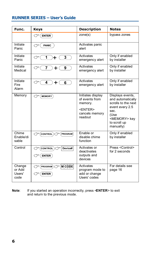#### **RUNNER SERIES – User's Guide**

| Func.                              | Keys                                                                      | <b>Description</b>                                            | <b>Notes</b>                                                                            |
|------------------------------------|---------------------------------------------------------------------------|---------------------------------------------------------------|-----------------------------------------------------------------------------------------|
|                                    | $\mathbb{C}^{\!-}(\mathsf{ENTER})$                                        | zone(s)                                                       | bypass zones                                                                            |
| Initiate<br>Panic                  | <b>PANIC</b><br>حرس                                                       | Activates panic<br>alert                                      |                                                                                         |
| Initiate<br>Panic                  | 3<br>℺<br>1<br>$\div$                                                     | Activates<br>emergency alert                                  | Only if enabled<br>by installer                                                         |
| Initiate<br>Medical                | 7<br>9<br>℺<br>$\pm$                                                      | Activates<br>emergency alert                                  | Only if enabled<br>by installer                                                         |
| Initiate<br><b>Fire</b><br>Alarm   | ℺<br>4<br>$+$<br>6                                                        | Activates<br>emergency alert                                  | Only if enabled<br>by installer                                                         |
| Memory                             | $\mathcal{L}$ (MEMORY                                                     | Initiates display<br>of events from<br>memory.                | Displays events,<br>and automatically<br>scrolls to the next                            |
|                                    |                                                                           | <enter><br/>cancels memory<br/>readout</enter>                | event every 2.5<br>sec.<br>(Use<br><memory> key<br/>to scroll up<br/>manually)</memory> |
| Chime<br>Enable/di<br>sable        | (PROGRAM)<br>$\mathcal{C}$ CONTROL) $\mathcal{C}$                         | Enable or<br>disable chime<br>function                        | Only if enabled<br>by installer                                                         |
| Control                            | Device#<br>$C2$ (CONTROL<br><b>ENTER</b><br>77                            | Activates or<br>deactivates<br>outputs and<br>devices         | Press <control><br/>for 2 seconds</control>                                             |
| Change<br>or Add<br>Users'<br>code | $M$ CODE<br>€<br>$(\mathsf{PROGRAM}) \subset \mathcal{F}$<br><b>ENTER</b> | Activates<br>program mode to<br>add or change<br>Users' codes | For details see<br>page 16                                                              |

**Note**: If you started an operation incorrectly, press <**ENTER**> to exit and return to the previous mode.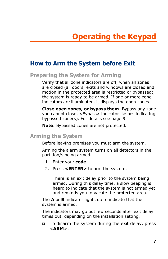## **How to Arm the System before Exit**

## **Preparing the System for Arming**

Verify that all zone indicators are off, when all zones are closed (all doors, exits and windows are closed and motion in the protected area is restricted or bypassed), the system is ready to be armed. If one or more zone indicators are illuminated, it displays the open zones.

**Close open zones, or bypass them**. Bypass any zone you cannot close, <Bypass> indicator flashes indicating bypassed zone(s). For details see page 9.

**Note**: Bypassed zones are not protected.

#### **Arming the System**

Before leaving premises you must arm the system.

Arming the alarm system turns on all detectors in the partition/s being armed.

- 1. Enter your **code**.
- 2. Press **<ENTER>** to arm the system.

There is an exit delay prior to the system being armed. During this delay time, a slow beeping is heard to indicate that the system is not armed yet and reminds you to vacate the protected area.

The **A** or **B** indicator lights up to indicate that the system is armed.

The indicators may go out few seconds after exit delay times out, depending on the installation setting.

q To disarm the system during the exit delay, press <**ARM**>.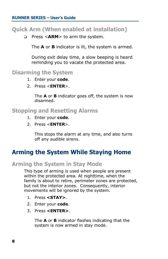#### **RUNNER SERIES – User's Guide**

#### **Quick Arm (When enabled at installation)**

q Press <**ARM**> to arm the system.

The **A** or **B** indicator is lit, the system is armed.

During exit delay time, a slow beeping is heard reminding you to vacate the protected area.

### **Disarming the System**

- 1. Enter your **code**.
- 2. Press <**ENTER**>.

The **A** or **B** indicator goes off, the system is now disarmed.

#### **Stopping and Resetting Alarms**

- 1. Enter your **code**.
- 2. Press <**ENTER**>.

This stops the alarm at any time, and also turns off any audible sirens.

## **Arming the System While Staying Home**

#### **Arming the System in Stay Mode**

This type of arming is used when people are present within the protected area. At nighttime, when the family is about to retire, perimeter zones are protected, but not the interior zones. Consequently, interior movements will be ignored by the system.

- 1. Press **<STAY>**.
- 2. Enter your **code**.
- 3. Press **<ENTER>**.

The **A** or **B** indicator flashes indicating that the system is now armed in stay mode.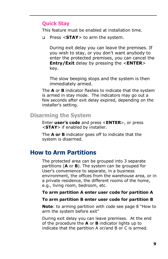#### **Quick Stay**

This feature must be enabled at installation time.

q Press <**STAY**> to arm the system.

During exit delay you can leave the premises. If you wish to stay, or you don't want anybody to enter the protected premises, you can cancel the **Entry/Exit** delay by pressing the <**ENTER**> key.

The slow beeping stops and the system is then immediately armed.

The **A** or **B** indicator flashes to indicate that the system is armed in stay mode. The indicators may go out a few seconds after exit delay expired, depending on the installer's setting.

#### **Disarming the System**

Enter **user's code** and press <**ENTER**>, or press <**STAY**> if enabled by installer.

The **A or B** indicator goes off to indicate that the system is disarmed.

#### **How to Arm Partitions**

The protected area can be grouped into 3 separate partitions (**A** or **B**). The system can be grouped for User's convenience to separate, in a business environment, the offices from the warehouse area, or in a private residence, the different rooms of the home, e.g., living room, bedroom, etc.

#### **To arm partition A enter user code for partition A**

#### **To arm partition B enter user code for partition B**

**Note**: to arming partition with code see page 8 "How to arm the system before exit"

During exit delay you can leave premises. At the end of the procedure the **A** or **B** indicator lights up to indicate that the partition A or/and B or C is armed.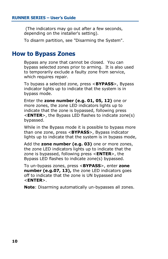(The indicators may go out after a few seconds, depending on the installer's setting).

To disarm partition, see "Disarming the System".

#### **How to Bypass Zones**

Bypass any zone that cannot be closed. You can bypass selected zones prior to arming. It is also used to temporarily exclude a faulty zone from service, which requires repair.

To bypass a selected zone, press <**BYPASS**>, Bypass indicator lights up to indicate that the system is in bypass mode.

Enter the **zone number (e.g. 01, 05, 12)** one or more zones, the zone LED indicators lights up to indicate that the zone is bypassed, following press <**ENTER**>, the Bypass LED flashes to indicate zone(s) bypassed.

While in the Bypass mode it is possible to bypass more than one zone, press <**BYPASS**>, Bypass indicator lights up to indicate that the system is in bypass mode,

Add the **zone number (e.g. 03)** one or more zones, the zone LED indicators lights up to indicate that the zone is bypassed, following press <**ENTER**>, the Bypass LED flashes to indicate zone(s) bypassed.

To un-bypass zones, press <**BYPASS**>, enter **zone number (e.g.07, 13),** the zone LED indicators goes off to indicate that the zone is UN bypassed and <**ENTER**>.

**Note**: Disarming automatically un-bypasses all zones.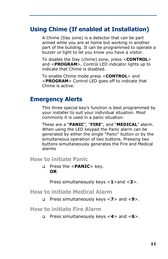## **Using Chime (If enabled at Installation)**

A Chime (Day zone) is a detector that can be part armed while you are at home but working in another part of the building. It can be programmed to operate a buzzer or light to let you know you have a visitor.

To disable the Day (chime) zone, press <**CONTROL**> and <**PROGRAM**>, Control LED indicator lights up to indicate that Chime is disabled.

To enable Chime mode press <**CONTROL**> and <**PROGRAM**> Control LED goes off to indicate that Chime is active.

## **Emergency Alerts**

This three special key's function is best programmed by your installer to suit your individual situation. Most commonly it is used in a panic situation.

These are a "**PANIC**", "**FIRE**", and "**MEDICAL**" alarm. When using the LED keypad the Panic alarm can be generated by either the single "Panic" button or by the simultaneous operation of two buttons. Pressing two buttons simultaneously generates the Fire and Medical alarms

**How to initiate Panic** 

q Press the <**PANIC**> key. **OR**

Press simultaneously keys <**1**>and <**3**>.

#### **How to initiate Medical Alarm**

q Press simultaneously keys <**7**> and <**9**>.

**How to initiate Fire Alarm** 

q Press simultaneously keys <**4**> and <**6**>.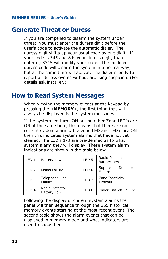### **Generate Threat or Duress**

If you are compelled to disarm the system under threat, you must enter the duress digit before the user's code to activate the automatic dialer. The duress digit shifts up your usual code by one digit. If your code is 345 and 8 is your duress digit, than entering 8345 will modify your code. The modified duress code will disarm the system in a normal way, but at the same time will activate the dialer silently to report a "duress event" without arousing suspicion. (For details ask installer.)

### **How to Read System Messages**

When viewing the memory events at the keypad by pressing the <**MEMORY**>, the first thing that will always be displayed is the system messages.

If the system led turns ON but no other Zone LED's are ON at the same time, this means that there are no current system alarms. If a zone LED and LED's are ON then this indicates system alarms that have not yet cleared. The LED's 1-8 are pre-defined as to what system alarm they will display. These system alarm indications are shown in the table below.

| LED <sub>1</sub> | <b>Battery Low</b>                   | LED <sub>5</sub> | Radio Pendant<br><b>Battery Low</b> |
|------------------|--------------------------------------|------------------|-------------------------------------|
| LED <sub>2</sub> | Mains Failure                        | LED <sub>6</sub> | Supervised Detector<br>Failure      |
| LED <sub>3</sub> | Telephone Line<br>Failure            | LED <sub>7</sub> | Zone Inactivity<br>Timeout          |
| LED <sub>4</sub> | Radio Detector<br><b>Battery Low</b> | LED <sub>8</sub> | Dialer Kiss-off Failure             |

Following the display of current system alarms the panel will then sequence through the 255 historical memory events starting at the most recent event. The second table shows the alarm events that can be displayed in memory mode and what indicators are used to show them.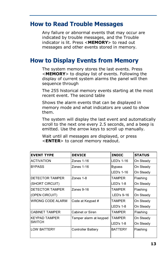## **How to Read Trouble Messages**

Any failure or abnormal events that may occur are indicated by trouble messages, and the Trouble indicator is lit. Press <**MEMORY**> to read out messages and other events stored in memory.

## **How to Display Events from Memory**

The system memory stores the last events. Press <**MEMORY**> to display list of events. Following the display of current system alarms the panel will then sequence through

The 255 historical memory events starting at the most recent event. The second table

Shows the alarm events that can be displayed in memory mode and what indicators are used to show them.

The system will display the last event and automatically scroll to the next one every 2.5 seconds, and a beep is emitted. Use the arrow keys to scroll up manually.

Wait until all messages are displayed, or press <**ENTER**> to cancel memory readout.

| <b>EVENT TYPE</b>       | <b>DEVICE</b>             | <b>INDIC</b>   | <b>STATUS</b> |
|-------------------------|---------------------------|----------------|---------------|
| <b>ACTIVATION</b>       | Zones $1-16$              | LED's 1-16     | On Steady     |
| <b>BYPASS</b>           | Zones $1-16$              | <b>Bypass</b>  | On Steady     |
|                         |                           | LED's 1-16     | On Steady     |
| DETECTOR TAMPER         | Zones 1-8                 | <b>TAMPER</b>  | Flashing      |
| (SHORT CIRCUIT)         |                           | $LED's 1-8$    | On Steady     |
| DETECTOR TAMPER         | Zones $9-16$              | TAMPFR         | Flashing      |
| (OPEN CIRCUIT)          |                           | LED's 9-16     | On Steady     |
| <b>WRONG CODE ALARM</b> | Code at Keypad #          | <b>TAMPER</b>  | On Steady     |
|                         |                           | $LED's 1-8$    | On Steady     |
| <b>CABINET TAMPER</b>   | Cabinet or Siren          | <b>TAMPER</b>  | Flashing      |
| <b>KEYPAD TAMPER</b>    | Tamper alarm at keypad    | <b>TAMPER</b>  | On Steady     |
| <b>SWITCH</b>           |                           | $LED's 1-8$    | On Steady     |
| <b>LOW BATTERY</b>      | <b>Controller Battery</b> | <b>BATTERY</b> | Flashing      |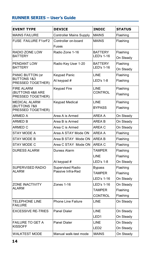#### **RUNNER SERIES – User's Guide**

| <b>EVENT TYPE</b>                                               | <b>DEVICE</b>                         | <b>INDIC</b>                                  | <b>STATUS</b>                     |
|-----------------------------------------------------------------|---------------------------------------|-----------------------------------------------|-----------------------------------|
| <b>MAINS FAILURE</b>                                            | Controller Mains Supply               | <b>MAINS</b>                                  | Flashing                          |
| <b>FUSE FAILURE F1orF2</b>                                      | Controller on-board<br>Fuses          | <b>MAINS</b>                                  | Flashing                          |
| RADIO ZONE LOW<br><b>BATTERY</b>                                | Radio Zone 1-16                       | <b>BATTERY</b><br>LED's 1-16                  | Flashing<br>On Steady             |
| PENDANT LOW<br><b>BATTERY</b>                                   | Radio Key User 1-20                   | <b>BATTERY</b><br>LED's 1-16                  | Flashing<br>On Steady             |
| PANIC BUTTON (or<br><b>BUTTONS 1&amp;3</b><br>PRESSED TOGETHER) | <b>Keypad Panic</b><br>At keypad #    | LINE<br><b>LED's 1-8</b>                      | Flashing<br>Flashing              |
| <b>FIRE ALARM</b><br>(BUTTONS 4&6 ARE<br>PRESSED TOGETHER)      | Keypad Fire                           | LINE<br>CONTROL                               | Flashing<br>Flashing              |
| MEDICAL ALARM<br>(BUTTONS 7&9<br>PRESSED TOGETHER)              | Keypad Medical                        | LINE<br><b>BYPASS</b>                         | Flashing<br>Flashing              |
| ARMED A                                                         | Area A is Armed                       | AREA A                                        | On Steady                         |
| ARMED B                                                         | Area B is Armed                       | AREA B                                        | On Steady                         |
| ARMED C                                                         | Area C is Armed                       | AREA C                                        | On Steady                         |
| STAY MODE A                                                     | Area A STAY Mode ON                   | AREA A                                        | Flashing                          |
| STAY MODE B                                                     | Area B STAY  Mode ON                  | AREA B                                        | Flashing                          |
| STAY MODE C                                                     | Area C STAY Mode ON                   | AREA C                                        | Flashing                          |
| <b>DURESS ALARM</b>                                             | Duress Alarm                          | <b>TAMPER</b><br>LINE<br>LED's 1-8            | Flashing<br>Flashing              |
|                                                                 | At keypad #                           |                                               | On Steady                         |
| SUPERVISED RADIO<br>ALARM                                       | Supervised Radio<br>Passive Infra-Red | <b>Bypass</b><br><b>TAMPER</b><br>LED's 1-16  | Flashing<br>Flashing<br>On Steady |
| <b>ZONE INACTIVITY</b><br>ALARM                                 | Zones 1-16                            | LED's 1-16<br><b>TAMPER</b><br><b>CONTROL</b> | On Steady<br>Flashing<br>Flashing |
| <b>TELEPHONE LINE</b><br><b>FAILURE</b>                         | <b>Phone Line Failure</b>             | LINE                                          | On Steady                         |
| <b>EXCESSIVE RE-TRIES</b>                                       | Panel Dialer                          | <b>LINE</b><br>LED1                           | On Steady<br>On Steady            |
| FAILURE TO GET A<br><b>KISSOFF</b>                              | Panel Dialer                          | <b>LINE</b><br>LED <sub>2</sub>               | On Steady<br>On Steady            |
| WALKTEST MODE                                                   | Manual walk-test mode                 | <b>MAINS</b>                                  | On Steady                         |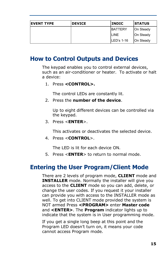| <b>EVENT TYPE</b> | <b>DEVICE</b> | <b>INDIC</b>   | <b>STATUS</b> |
|-------------------|---------------|----------------|---------------|
|                   |               | <b>BATTERY</b> | On Steady     |
|                   |               | <b>LINE</b>    | On Steady     |
|                   |               | $ILED's 1-16$  | On Steady     |

## **How to Control Outputs and Devices**

The keypad enables you to control external devices, such as an air-conditioner or heater. To activate or halt a device:

1. Press **<CONTROL>.** 

The control LEDs are constantly lit.

2. Press the **number of the device**.

Up to eight different devices can be controlled via the keypad.

3. Press <**ENTER**>.

This activates or deactivates the selected device.

4. Press <**CONTROL**>.

The LED is lit for each device ON.

5. Press <**ENTER**> to return to normal mode.

## **Entering the User Program/Client Mode**

There are 2 levels of program mode, **CLIENT** mode and **INSTALLER** mode. Normally the installer will give you access to the **CLIENT** mode so you can add, delete, or change the user codes. If you request it your installer can provide you with access to the INSTALLER mode as well. To get into CLIENT mode provided the system is NOT armed Press **<PROGRAM>** enter **Master code**  and **<ENTER>**. The **Program** indicator lights up to indicate that the system is in User programming mode.

If you get a single long beep at this point and the Program LED doesn't turn on, it means your code cannot access Program mode.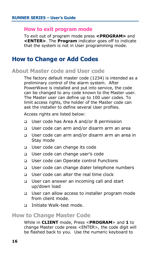#### **How to exit program mode**

To exit out of program mode press **<PROGRAM>** and **<ENTER>**. The **Program** indicator goes off to indicate that the system is not in User programming mode.

## **How to Change or Add Codes**

#### **About Master code and User code**

The factory default master code (1234) is intended as a preliminary control of the alarm system. After PowerWave is installed and put into service, the code can be changed to any code known to the Master user. The Master user can define up to 100 user codes. To limit access rights, the holder of the Master code can ask the installer to define several User profiles.

Access rights are listed below:

- q User code has Area A and/or B permission
- q User code can arm and/or disarm arm an area
- q User code can arm and/or disarm arm an area in Stay mode
- □ User code can change its code
- □ User code can change user's code
- q User code can Operate control Functions
- □ User code can change dialer telephone numbers
- q User code can alter the real time clock
- q User can answer an incoming call and start up/down load
- □ User can allow access to installer program mode from client mode.
- q Initiate Walk-test mode.

#### **How to Change Master Code**

While in **CLIENT** mode, Press <**PROGRAM**> and **1** to change Master code press <ENTER>, the code digit will be flashed back to you. Use the numeric keyboard to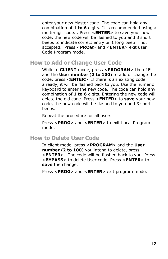enter your new Master code. The code can hold any combination of **1 to 6** digits. It is recommended using a multi-digit code. . Press <**ENTER**> to save your new code, the new code will be flashed to you and 3 short beeps to indicate correct entry or 1 long beep if not accepted. Press <**PROG**> and <**ENTER**> exit user Code Program mode.

#### **How to Add or Change User Code**

While in **CLIENT** mode, press <**PROGRAM**> then 1E and the **User number** (**2 to 100**) to add or change the code, press <**ENTER**>. If there is an existing code already, it will be flashed back to you. Use the numeric keyboard to enter the new code. The code can hold any combination of **1 to 6** digits. Entering the new code will delete the old code. Press <**ENTER**> to **save** your new code, the new code will be flashed to you and 3 short beeps.

Repeat the procedure for all users.

Press <**PROG**> and <**ENTER**> to exit Local Program mode.

#### **How to Delete User Code**

In client mode, press <**PROGRAM**> and the **User number** (**2 to 100**) you intend to delete, press <**ENTER**>. The code will be flashed back to you. Press <**BYPASS**> to delete User code. Press <**ENTER**> to **save** the change.

Press <**PROG**> and <**ENTER**> exit program mode.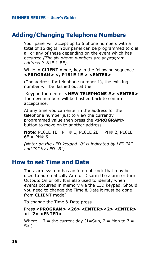## **Adding/Changing Telephone Numbers**

Your panel will accept up to 6 phone numbers with a total of 16 digits. Your panel can be programmed to dial all or any of these depending on the event which has occurred.*(The six phone numbers are at program address* P181E 1-8E*).* 

While in **CLIENT** mode, key in the following sequence **<PROGRAM> <, P181E 1E > <ENTER>** 

(The address for telephone number 1), the existing number will be flashed out at the

 Keypad then enter <**NEW TELEPHONE #> <ENTER>**  The new numbers will be flashed back to confirm acceptance.

At any time you can enter in the address for the telephone number just to view the currently programmed value then press the **<PROGRAM>** button to move on to another address.

**Note**: P181E 1E= PH # 1, P181E 2E = PH# 2, P181E  $6F = PH# 6.$ 

*(Note: on the LED keypad "0" is indicated by LED "A" and "9" by LED "B")*

## **How to set Time and Date**

The alarm system has an internal clock that may be used to automatically Arm or Disarm the alarm or turn Outputs On or off. It is also used to identify when events occurred in memory via the LCD keypad. Should you need to change the Time & Date it must be done from **CLIENT** mode?

To change the Time & Date press

#### Press **<PROGRAM> <26> <ENTER><2> <ENTER> <1-7> <ENTER>**

Where  $1 - 7$  = the current day  $(1 = Sun, 2 = Mon to 7 =$ Sat)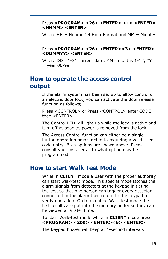#### Press **<PROGRAM> <26> <ENTER> <1> <ENTER> <HHMM> <ENTER>**

Where  $HH = H$ our in 24 Hour Format and  $MM = M$ inutes

#### Press **<PROGRAM> <26> <ENTER><3> <ENTER> <DDMMYY> <ENTER>**

Where  $DD = 1-31$  current date, MM= months 1-12, YY  $=$  year 00-99

## **How to operate the access control output**

If the alarm system has been set up to allow control of an electric door lock, you can activate the door release function as follows;

Press <CONTROL> or Press <CONTROL> enter CODE then <ENTER>

The Control LED will light up while the lock is active and turn off as soon as power is removed from the lock.

The Access Control function can either be a single button operation or restricted to requiring a valid User code entry. Both options are shown above. Please consult your installer as to what option may be programmed.

## **How to start Walk Test Mode**

While in **CLIENT** mode a User with the proper authority can start walk-test mode. This special mode latches the alarm signals from detectors at the keypad initiating the test so that one person can trigger every detector connected to the alarm then return to the keypad to verify operation. On terminating Walk-test mode the test results are put into the memory buffer so they can be viewed at a later time.

To start Walk-test mode while in **CLIENT** mode press **<PROGRAM> <200> <ENTER><6> <ENTER>** 

The keypad buzzer will beep at 1-second intervals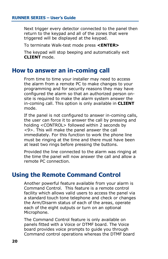Next trigger every detector connected to the panel then return to the keypad and all of the zones that were triggered will be displayed at the keypad.

To terminate Walk-test mode press **<ENTER>** 

The keypad will stop beeping and automatically exit **CLIENT** mode.

#### **How to answer an in-coming call**

From time to time your installer may need to access the alarm from a remote PC to make changes to your programming and for security reasons they may have configured the alarm so that an authorized person onsite is required to make the alarm system answer the in-coming call. This option is only available in **CLIENT** mode.

If the panel is not configured to answer in-coming calls, the user can force it to answer the call by pressing and holding <CONTROL> followed within 2 seconds by <9>. This will make the panel answer the call immediately. For this function to work the phone line must be ringing at the time and there must have been at least two rings before pressing the buttons.

Provided the line connected to the alarm was ringing at the time the panel will now answer the call and allow a remote PC connection.

## **Using the Remote Command Control**

Another powerful feature available from your alarm is Command Control. This feature is a remote control facility which allows valid users to access the panel via a standard touch tone telephone and check or changes the Arm/Disarm status of each of the areas, operate each of the eight outputs or turn on an optional Microphone.

The Command Control feature is only available on panels fitted with a Voice or DTMF board. The Voice board provides voice prompts to guide you through Command control operations whereas the DTMF board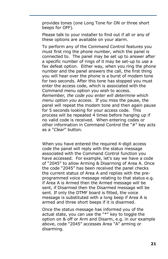provides tones (one Long Tone for ON or three short beeps for OFF).

Please talk to your installer to find out if all or any of these options are available on your alarm.

To perform any of the Command Control features you must first ring the phone number, which the panel is connected to. The panel may be set up to answer after a specific number of rings of it may be set-up to use a fax defeat option. Either way, when you ring the phone number and the panel answers the call, the first thing you will hear over the phone is a burst of modem tone for two seconds. After this tone has stopped you must enter the access code, which is associated with the Command menu option you wish to access. *Remember, the code you enter will determine which menu option you access*. If you miss the pause, the panel will repeat the modem tone and then again pause for 5 seconds looking for your access code. This process will be repeated 4 times before hanging up if no valid code is received. When entering codes or other information in Command Control the "#" key acts as a "*Clear*" button.

When you have entered the required 4-digit access code the panel will reply with the status message associated with the Command Control function you have accessed. For example, let's say we have a code of "2045" to allow Arming & Disarming of Area A. Once the code "2045" has been received the panel checks the current status of Area A and replies with the preprogrammed voice message relating to that status e.g. if Area A is Armed then the Armed message will be sent, if Disarmed then the Disarmed message will be sent. If only the DTMF board is fitted, the voice message is substituted with a long beep if Area A is armed and three short beeps if it is disarmed.

Once the status message has informed you of the actual state, you can use the "\*" key to toggle the option on & off or Arm and Disarm, e.g. in our example above, code "2045" accesses Area "A" arming or disarming.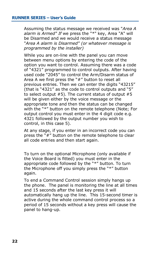Assuming the status message we received was "*Area A alarm is Armed" If* we press the "\*" key, Area "A" will be Disarmed and we would receive a status message "*Area A alarm is Disarmed" (or whatever message is programmed by the installer)*

While you are on-line with the panel you can move between menu options by entering the code of the option you want to control. Assuming there was a code of "4321" programmed to control outputs. After having used code "2045" to control the Arm/Disarm status of Area A we first press the "#" button to reset all previous entries. Then we can enter the digits "43215" (that is "4321" as the code to control outputs and "5" to select output  $#5$ ). The current status of output  $#5$ will be given either by the voice message or the appropriate tone and then the status can be changed with the "\*" button on the remote telephone (Note; For output control you must enter in the 4 digit code e.g. 4321 followed by the output number you wish to control, in this case 5).

At any stage, if you enter in an incorrect code you can press the "#" button on the remote telephone to clear all code entries and then start again.

To turn on the optional Microphone (only available if the Voice Board is fitted) you must enter in the appropriate code followed by the "\*" button. To turn the Microphone off you simply press the "\*" button again.

To end a Command Control session simply hangs up the phone. The panel is monitoring the line at all times and 15 seconds after the last key press it will automatically hang up the line. This 15-second timer is active during the whole command control process so a period of 15 seconds without a key press will cause the panel to hang-up.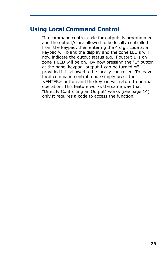## **Using Local Command Control**

If a command control code for outputs is programmed and the output/s are allowed to be locally controlled from the keypad, then entering the 4 digit code at a keypad will blank the display and the zone LED's will now indicate the output status e.g. if output 1 is on zone 1 LED will be on. By now pressing the "1" button at the panel keypad, output 1 can be turned off provided it is allowed to be locally controlled. To leave local command control mode simply press the <ENTER> button and the keypad will return to normal operation. This feature works the same way that "Directly Controlling an Output" works (see page 14) only it requires a code to access the function.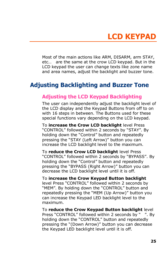## **LCD KEYPAD**

Most of the main actions like ARM, DISARM, arm STAY, etc… are the same at the crow LCD keypad. But in the LCD keypad the user can change texts like zone name and area names, adjust the backlight and buzzer tone.

## **Adjusting Backlighting and Buzzer Tone**

#### **Adjusting the LCD Keypad Backlighting**

The user can independently adjust the backlight level of the LCD display and the Keypad Buttons from off to on with 16 steps in between. The Buttons used for these special functions vary depending on the LCD keypad.

To **increase the Crow LCD backlight** level Press "CONTROL" followed within 2 seconds by "STAY". By holding down the "Control" button and repeatedly pressing the "STAY (Left Arrow)" button you can increase the LCD backlight level to the maximum.

To **reduce the Crow LCD backlight** level Press "CONTROL" followed within 2 seconds by "BYPASS". By holding down the "Control" button and repeatedly pressing the "BYPASS (Right Arrow)" button you can decrease the LCD backlight level until it is off.

To **increase the Crow Keypad Button backlight**  level Press "CONTROL" followed within 2 seconds by "MEM". By holding down the "CONTROL" button and repeatedly pressing the "MEM (Up Arrow)" button you can increase the Keypad LED backlight level to the maximum.

To **reduce the Crow Keypad Button backlight** level Press "CONTROL" followed within 2 seconds by ". By holding down the "CONTROL" button and repeatedly pressing the "(Down Arrow)" button you can decrease the Keypad LED backlight level until it is off.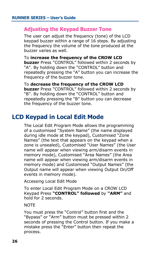#### **Adjusting the Keypad Buzzer Tone**

The user can adjust the frequency (tone) of the LCD keypad buzzer within a range of 16 steps. By adjusting the frequency the volume of the tone produced at the buzzer varies as well.

To **increase the frequency of the CROW LCD buzzer** Press "CONTROL" followed within 2 seconds by "A". By holding down the "CONTROL" button and repeatedly pressing the "A" button you can increase the frequency of the buzzer tone.

To **decrease the frequency of the CROW LCD buzzer** Press "CONTROL" followed within 2 seconds by "B". By holding down the "CONTROL" button and repeatedly pressing the "B" button you can decrease the frequency of the buzzer tone.

## **LCD Keypad in Local Edit Mode**

The Local Edit Program Mode allows the programming of a customised "System Name" (the name displayed during idle mode at the keypad), Customised "Zone Names" (the text that appears on the keypad when a zone is unsealed), Customised "User Names" (the User name will appear when viewing arm/disarm events in memory mode), Customised "Area Names" (the Area name will appear when viewing arm/disarm events in memory mode) and Customised "Output Names" (the Output name will appear when viewing Output On/Off events in memory mode).

Accessing Local Edit Mode

To enter Local Edit Program Mode on a CROW LCD Keypad Press **"CONTROL" followed** by **"ARM"** and hold for 2 seconds.

**NOTE** 

You must press the "Control" button first and the "Bypass" or "Arm" button must be pressed within 2 seconds of pressing the Control button. If you make a mistake press the "Enter" button then repeat the process.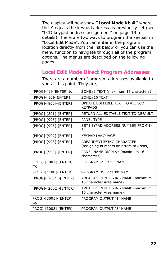The display will now show **"Local Mode kb #"** where the # equals the keypad address as previously set (see "LCD keypad address assignment" on page 19 for details). There are two ways to program the keypad in "Local Edit Mode". You can enter in the program location directly from the list below or you can use the menu function to navigate through all of the program options. The menus are described on the following pages.

### **Local Edit Mode Direct Program Addresses**

| [PROG]-[1]-[ENTER] to;      | ZONE#1 TEXT (maximum 16 characters)                                   |
|-----------------------------|-----------------------------------------------------------------------|
| $[PROG] - [16] - [ENTER]$   | ZONE#16 TEXT                                                          |
| [PROG]-[800]-[ENTER]        | UPDATE EDITABLE TEXT TO ALL LCD<br><b>KEYPADS</b>                     |
| [PROG]-[801]-[ENTER]        | RETURN ALL EDITABLE TEXT TO DEFAULT                                   |
| [PROG]-[995]-[ENTER]        | <b>PANEL TYPE</b>                                                     |
| [PROG]-[996]-[ENTER]        | SET KEYPAD ADDRESS NUMBER FROM 1-<br>8                                |
| [PROG]-[997]-[ENTER]        | KFYPAD LANGUAGF                                                       |
| [PROG]-[998]-[ENTER]        | ARFA IDENTIFYING CHARACTER<br>(assigning numbers or letters to Areas) |
| [PROG]-[999]-[ENTER]        | PANEL NAME DISPLAY (maximum 16<br>characters)                         |
| PROG]-[1001]-[ENTER]<br>to; | PROGRAM USER "1" NAME                                                 |
| PROG]-[1100]-[ENTER]        | PROGRAM USER "100" NAME                                               |
| [PROG]-[2001]-[ENTER]       | AREA "A" IDENTIFYING NAME (maximum<br>16 character Area name)         |
| [PROG]-[2002]-[ENTER]       | AREA "B" IDENTIFYING NAME (maximum<br>16 character Area name)         |
| PROG]-[3001]-[ENTER]<br>to; | PROGRAM OUTPUT "1" NAME                                               |
| PROG]-[3008]-[ENTER]        | PROGRAM OUTPUT "8" NAME                                               |

There are a number of program addresses available to you at this point. They are;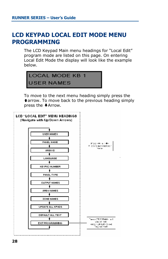## **LCD KEYPAD LOCAL EDIT MODE MENU PROGRAMMING**

The LCD Keypad Main menu headings for "Local Edit" program mode are listed on this page. On entering Local Edit Mode the display will look like the example below.



To move to the next menu heading simply press the tarrow. To move back to the previous heading simply press the »Arrow.

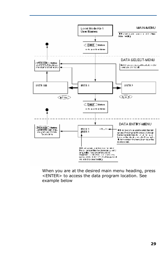

When you are at the desired main menu heading, press <ENTER> to access the data program location. See example below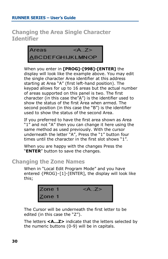**Changing the Area Single Character Identifier** 



When you enter in **[PROG]-[998]-[ENTER]** the display will look like the example above. You may edit the single character Area identifier at this address starting at Area "A" (first left-hand position). The keypad allows for up to 16 areas but the actual number of areas supported on this panel is two. The first character (in this case the" $A$ ") is the identifier used to show the status of the first Area when armed. The second position (in this case the "B") is the identifier used to show the status of the second Area.

If you preferred to have the first area shown as Area "1" and not "A" then you can change it here using the same method as used previously. With the cursor underneath the letter "A", Press the "1" button four times until the character in the first slot shows "1".

When you are happy with the changes Press the "**ENTER**" button to save the changes.

#### **Changing the Zone Names**

When in "Local Edit Program Mode" and you have entered {PROG}-[1]-[ENTER], the display will look like this;



The Cursor will be underneath the first letter to be edited (in this case the "Z").

The letters **<A...Z>** indicate that the letters selected by the numeric buttons (0-9) will be in capitals.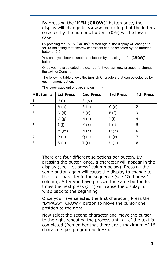By pressing the "MEM (**CROW**)" button once, the display will change to **<a..z>** indicating that the letters selected by the numeric buttons (0-9) will be lower case.

By pressing the "MEM (**CROW**)" button again, the display will change to **<ד..ג <**indicating that Hebrew characters can be selected by the numeric buttons (0-9).

You can cycle back to another selection by pressing the "• (**CROW**)" button.

Once you have selected the desired font you can now proceed to change the text for Zone 1.

The following table shows the English Characters that can be selected by each numeric button.

| ▼Button # | <b>1st Press</b> | 2nd Press | <b>3rd Press</b> | 4th Press |
|-----------|------------------|-----------|------------------|-----------|
|           | $*$ (')          | # $($     |                  |           |
| 2         | A(a)             | B(b)      | C(c)             | 2         |
| 3         | D(d)             | E(e)      | F(f)             | 3         |
| 4         | G(g)             | H(h)      | I(i)             | 4         |
| 5         | J(j)             | K(k)      | $L($ l)          | 5         |
| 6         | M(m)             | N(n)      | O(0)             | 6         |
|           | P(p)             | Q(q)      | R(r)             | 7         |
| 8         | S(s)             | T(t)      | U(u)             | 8         |

The lower case options are shown in ( )

There are four different selections per button. By pressing the button once, a character will appear in the display (see "1st press" column below). Pressing the same button again will cause the display to change to the next character in the sequence (see "2nd press" column). After you have pressed the same button four times the next press (5th) will cause the display to wrap back to the beginning.

Once you have selected the first character, Press the "BYPASS" (CROW)" button to move the cursor one position to the right.

Now select the second character and move the cursor to the right repeating the process until all of the text is completed (Remember that there are a maximum of 16 characters per program address).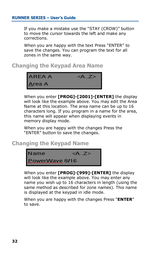If you make a mistake use the "STAY (CROW)" button to move the cursor towards the left and make any corrections.

When you are happy with the text Press "ENTER" to save the changes. You can program the text for all zones in the same way.

### **Changing the Keypad Area Name**



When you enter **[PROG]-[2001]-[ENTER]** the display will look like the example above. You may edit the Area Name at this location. The area name can be up to 16 characters long. If you program in a name for the area, this name will appear when displaying events in memory display mode.

When you are happy with the changes Press the "ENTER" button to save the changes.

#### **Changing the Keypad Name**



When you enter **[PROG]-[999]-[ENTER]** the display will look like the example above. You may enter any name you wish up to 16 characters in length (using the same method as described for zone names). This name is displayed at the keypad in idle mode.

When you are happy with the changes Press "**ENTER**" to save.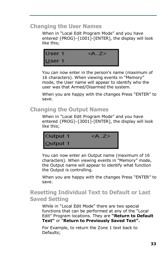#### **Changing the User Names**

When in "Local Edit Program Mode" and you have entered {PROG}-[1001]-[ENTER], the display will look like this;



You can now enter in the person's name (maximum of 16 characters). When viewing events in "Memory" mode, the User name will appear to identify who the user was that Armed/Disarmed the system.

When you are happy with the changes Press "ENTER" to save.

## **Changing the Output Names**

When in "Local Edit Program Mode" and you have entered {PROG}-[3001]-[ENTER], the display will look like this;



You can now enter an Output name (maximum of 16 characters). When viewing events in "Memory" mode, the Output name will appear to identify what function the Output is controlling.

When you are happy with the changes Press "ENTER" to save.

## **Resetting Individual Text to Default or Last Saved Setting**

While in "Local Edit Mode" there are two special functions that can be performed at any of the "Local Edit" Program locations. They are **"Return to Default Text"** or "**Return to Previously Saved Text".** 

For Example, to return the Zone 1 text back to Defaults;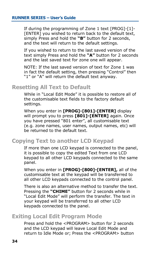If during the programming of Zone 1 text [PROG]-[1]- [ENTER] you wished to return back to the default text, simply Press and hold the **"B"** button for 2 seconds, and the text will return to the default settings.

If you wished to return to the last saved version of the text simply Press and hold the **"A"** button for 2 seconds and the last saved text for zone one will appear.

NOTE: If the last saved version of text for Zone 1 was in fact the default setting, then pressing "Control" then "1" or "A" will return the default text anyway.

#### **Resetting All Text to Default**

While in "Local Edit Mode" it is possible to restore all of the customisable text fields to the factory default settings.

When you enter in **[PROG]-[801]-[ENTER]** display will prompt you to press **[801]-[ENTER]** again. Once you have pressed "801 enter", all customisable text (e.g. zone names, user names, output names, etc) will be returned to the default text.

## **Copying Text to another LCD Keypad**

If more than one LCD keypad is connected to the panel, it is possible to copy the edited Text from one LCD keypad to all other LCD keypads connected to the same panel.

When you enter in **[PROG]-[800]-[ENTER],** all of the customisable text at the keypad will be transferred to all other LCD keypads connected to the control panel.

There is also an alternative method to transfer the text. Pressing the **"CHIME"** button for 2 seconds while in "Local Edit Mode" will perform the transfer. The text in your keypad will be transferred to all other LCD keypads connected to the panel.

#### **Exiting Local Edit Program Mode**

Press and hold the <PROGRAM> button for 2 seconds and the LCD keypad will leave Local Edit Mode and return to Idle Mode or; Press the <PROGRAM> button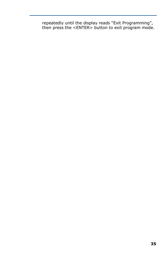repeatedly until the display reads "Exit Programming", then press the <ENTER> button to exit program mode.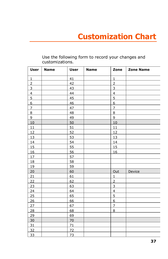| <b>User</b>     | <b>Name</b> | <b>User</b>    | <b>Name</b> | Zone                    | <b>Zone Name</b> |
|-----------------|-------------|----------------|-------------|-------------------------|------------------|
| $\mathbf{1}$    |             | 41             |             | $\mathbf{1}$            |                  |
| $\overline{2}$  |             | 42             |             | $\overline{2}$          |                  |
| $\overline{3}$  |             | 43             |             | 3                       |                  |
| $\overline{4}$  |             | 44             |             | $\overline{\mathbf{4}}$ |                  |
| $\overline{5}$  |             | 45             |             | 5                       |                  |
| $6 \overline{}$ |             | $\frac{46}{5}$ |             | 6                       |                  |
| $\overline{7}$  |             | 47             |             | $\overline{7}$          |                  |
| 8               |             | 48             |             | 8                       |                  |
| 9               |             | 49             |             | 9                       |                  |
| 10              |             | 50             |             | 10                      |                  |
| 11              |             | 51             |             | 11                      |                  |
| 12              |             | 52             |             | 12                      |                  |
| 13              |             | 53             |             | 13                      |                  |
| 14              |             | 54             |             | 14                      |                  |
| 15              |             | 55             |             | 15                      |                  |
| 16              |             | 56             |             | 16                      |                  |
| 17              |             | 57             |             |                         |                  |
| 18              |             | 58             |             |                         |                  |
| 19              |             | 59             |             |                         |                  |
| 20              |             | 60             |             | Out                     | Device           |
| 21              |             | 61             |             | $\mathbf 1$             |                  |
| 22              |             | 62             |             | $\overline{2}$          |                  |
| 23              |             | 63             |             | 3                       |                  |
| 24              |             | 64             |             | $\overline{\mathbf{4}}$ |                  |
| 25              |             | 65             |             | 5                       |                  |
| 26              |             | 66             |             | $6 \overline{}$         |                  |
| 27              |             | 67             |             | $\overline{7}$          |                  |
| 28              |             | 68             |             | 8                       |                  |
| 29              |             | 69             |             |                         |                  |
| 30              |             | 70             |             |                         |                  |
| 31              |             | 71             |             |                         |                  |
| 32              |             | 72             |             |                         |                  |
| 33              |             | 73             |             |                         |                  |

Use the following form to record your changes and customizations.